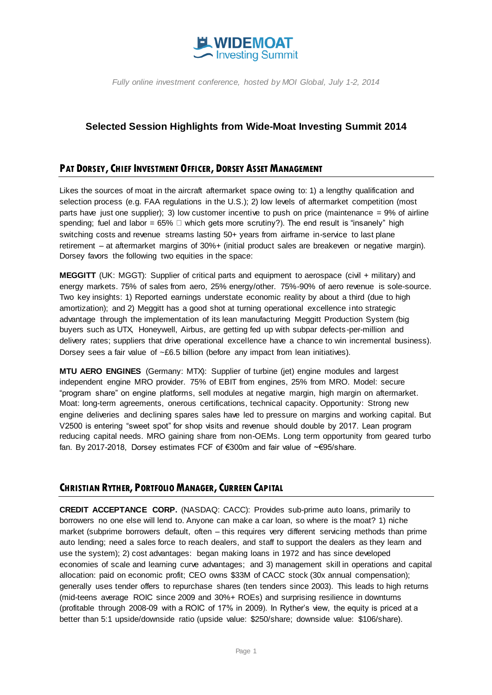

# **Selected Session Highlights from Wide-Moat Investing Summit 2014**

### **PAT DORSEY, CHIEF INVESTMENT OFFICER, DORSEY ASSET MANAGEMENT**

Likes the sources of moat in the aircraft aftermarket space owing to: 1) a lengthy qualification and selection process (e.g. FAA regulations in the U.S.); 2) low levels of aftermarket competition (most parts have just one supplier); 3) low customer incentive to push on price (maintenance  $= 9\%$  of airline spending; fuel and labor = 65%  $\Box$  which gets more scrutiny?). The end result is "insanely" high switching costs and revenue streams lasting 50+ years from airframe in-service to last plane retirement – at aftermarket margins of 30%+ (initial product sales are breakeven or negative margin). Dorsey favors the following two equities in the space:

**MEGGITT** (UK: MGGT): Supplier of critical parts and equipment to aerospace (civil + military) and energy markets. 75% of sales from aero, 25% energy/other. 75%-90% of aero revenue is sole-source. Two key insights: 1) Reported earnings understate economic reality by about a third (due to high amortization); and 2) Meggitt has a good shot at turning operational excellence into strategic advantage through the implementation of its lean manufacturing Meggitt Production System (big buyers such as UTX, Honeywell, Airbus, are getting fed up with subpar defects -per-million and delivery rates; suppliers that drive operational excellence have a chance to win incremental business). Dorsey sees a fair value of  $\sim$ £6.5 billion (before any impact from lean initiatives).

**MTU AERO ENGINES** (Germany: MTX): Supplier of turbine (jet) engine modules and largest independent engine MRO provider. 75% of EBIT from engines, 25% from MRO. Model: secure "program share" on engine platforms, sell modules at negative margin, high margin on aftermarket. Moat: long-term agreements, onerous certifications, technical capacity. Opportunity: Strong new engine deliveries and declining spares sales have led to pressure on margins and working capital. But V2500 is entering "sweet spot" for shop visits and revenue should double by 2017. Lean program reducing capital needs. MRO gaining share from non-OEMs. Long term opportunity from geared turbo fan. By 2017-2018, Dorsey estimates FCF of €300m and fair value of ~€95/share.

# **CHRISTIAN RYTHER, PORTFOLIO MANAGER, CURREEN CAPITAL**

**CREDIT ACCEPTANCE CORP.** (NASDAQ: CACC): Provides sub-prime auto loans, primarily to borrowers no one else will lend to. Anyone can make a car loan, so where is the moat? 1) niche market (subprime borrowers default, often – this requires very different servicing methods than prime auto lending; need a sales force to reach dealers, and staff to support the dealers as they learn and use the system); 2) cost advantages: began making loans in 1972 and has since developed economies of scale and learning curve advantages; and 3) management skill in operations and capital allocation: paid on economic profit; CEO owns \$33M of CACC stock (30x annual compensation); generally uses tender offers to repurchase shares (ten tenders since 2003). This leads to high returns (mid-teens average ROIC since 2009 and 30%+ ROEs) and surprising resilience in downturns (profitable through 2008-09 with a ROIC of 17% in 2009). In Ryther's view, the equity is priced at a better than 5:1 upside/downside ratio (upside value: \$250/share; downside value: \$106/share).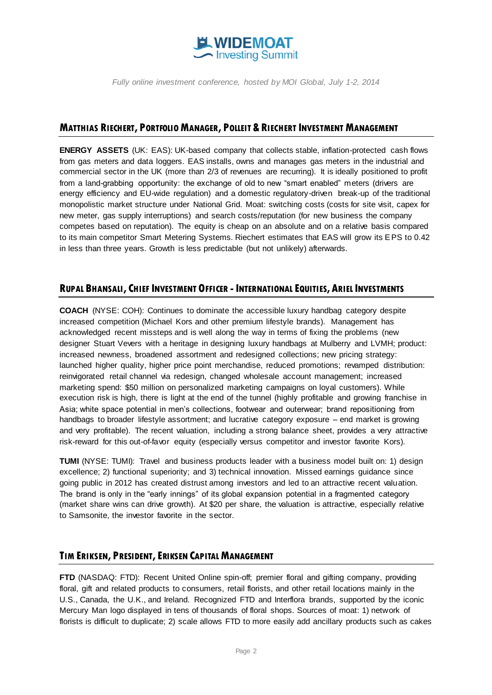

#### **MATTHIAS RIECHERT, PORTFOLIO MANAGER, POLLEIT & RIECHERT INVESTMENT MANAGEMENT**

**ENERGY ASSETS** (UK: EAS): UK-based company that collects stable, inflation-protected cash flows from gas meters and data loggers. EAS installs, owns and manages gas meters in the industrial and commercial sector in the UK (more than 2/3 of revenues are recurring). It is ideally positioned to profit from a land-grabbing opportunity: the exchange of old to new "smart enabled" meters (drivers are energy efficiency and EU-wide regulation) and a domestic regulatory-driven break-up of the traditional monopolistic market structure under National Grid. Moat: switching costs (costs for site visit, capex for new meter, gas supply interruptions) and search costs/reputation (for new business the company competes based on reputation). The equity is cheap on an absolute and on a relative basis compared to its main competitor Smart Metering Systems. Riechert estimates that EAS will grow its EPS to 0.42 in less than three years. Growth is less predictable (but not unlikely) afterwards.

#### RUPAL BHANSALI, CHIEF INVESTMENT OFFICER - INTERNATIONAL EQUITIES, ARIEL INVESTMENTS

**COACH** (NYSE: COH): Continues to dominate the accessible luxury handbag category despite increased competition (Michael Kors and other premium lifestyle brands). Management has acknowledged recent missteps and is well along the way in terms of fixing the problems (new designer Stuart Vevers with a heritage in designing luxury handbags at Mulberry and LVMH; product: increased newness, broadened assortment and redesigned collections; new pricing strategy: launched higher quality, higher price point merchandise, reduced promotions; revamped distribution: reinvigorated retail channel via redesign, changed wholesale account management; increased marketing spend: \$50 million on personalized marketing campaigns on loyal customers). While execution risk is high, there is light at the end of the tunnel (highly profitable and growing franchise in Asia; white space potential in men's collections, footwear and outerwear; brand repositioning from handbags to broader lifestyle assortment; and lucrative category exposure – end market is growing and very profitable). The recent valuation, including a strong balance sheet, provides a very attractive risk-reward for this out-of-favor equity (especially versus competitor and investor favorite Kors).

**TUMI** (NYSE: TUMI): Travel and business products leader with a business model built on: 1) design excellence; 2) functional superiority; and 3) technical innovation. Missed earnings guidance since going public in 2012 has created distrust among investors and led to an attractive recent valuation. The brand is only in the "early innings" of its global expansion potential in a fragmented category (market share wins can drive growth). At \$20 per share, the valuation is attractive, especially relative to Samsonite, the investor favorite in the sector.

#### **TIM ERIKSEN, PRESIDENT, ERIKSEN CAPITAL MANAGEMENT**

**FTD** (NASDAQ: FTD): Recent United Online spin-off; premier floral and gifting company, providing floral, gift and related products to consumers, retail florists, and other retail locations mainly in the U.S., Canada, the U.K., and Ireland. Recognized FTD and Interflora brands, supported by the iconic Mercury Man logo displayed in tens of thousands of floral shops. Sources of moat: 1) network of florists is difficult to duplicate; 2) scale allows FTD to more easily add ancillary products such as cakes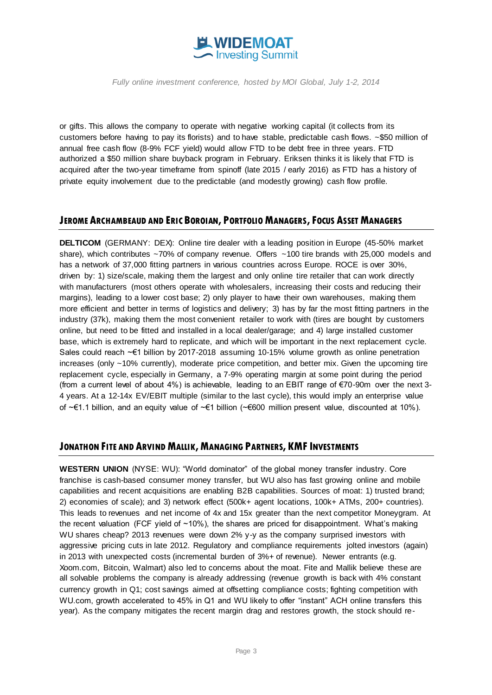

or gifts. This allows the company to operate with negative working capital (it collects from its customers before having to pay its florists) and to have stable, predictable cash flows. ~\$50 million of annual free cash flow (8-9% FCF yield) would allow FTD to be debt free in three years. FTD authorized a \$50 million share buyback program in February. Eriksen thinks it is likely that FTD is acquired after the two-year timeframe from spinoff (late 2015 / early 2016) as FTD has a history of private equity involvement due to the predictable (and modestly growing) cash flow profile.

#### **JEROME ARCHAMBEAUD AND ERIC BOROIAN, PORTFOLIO MANAGERS,FOCUS ASSET MANAGERS**

**DELTICOM** (GERMANY: DEX): Online tire dealer with a leading position in Europe (45-50% market share), which contributes  $\sim$ 70% of company revenue. Offers  $\sim$ 100 tire brands with 25,000 models and has a network of 37,000 fitting partners in various countries across Europe. ROCE is over 30%, driven by: 1) size/scale, making them the largest and only online tire retailer that can work directly with manufacturers (most others operate with wholesalers, increasing their costs and reducing their margins), leading to a lower cost base; 2) only player to have their own warehouses, making them more efficient and better in terms of logistics and delivery; 3) has by far the most fitting partners in the industry (37k), making them the most convenient retailer to work with (tires are bought by customers online, but need to be fitted and installed in a local dealer/garage; and 4) large installed customer base, which is extremely hard to replicate, and which will be important in the next replacement cycle. Sales could reach ~€1 billion by 2017-2018 assuming 10-15% volume growth as online penetration increases (only ~10% currently), moderate price competition, and better mix. Given the upcoming tire replacement cycle, especially in Germany, a 7-9% operating margin at some point during the period (from a current level of about 4%) is achievable, leading to an EBIT range of €70-90m over the next 3- 4 years. At a 12-14x EV/EBIT multiple (similar to the last cycle), this would imply an enterprise value of ~€1.1 billion, and an equity value of ~€1 billion (~€600 million present value, discounted at 10%).

#### **JONATHON FITE AND ARVIND MALLIK, MANAGING PARTNERS, KMFINVESTMENTS**

**WESTERN UNION** (NYSE: WU): "World dominator" of the global money transfer industry. Core franchise is cash-based consumer money transfer, but WU also has fast growing online and mobile capabilities and recent acquisitions are enabling B2B capabilities. Sources of moat: 1) trusted brand; 2) economies of scale); and 3) network effect (500k+ agent locations, 100k+ ATMs, 200+ countries). This leads to revenues and net income of 4x and 15x greater than the next competitor Moneygram. At the recent valuation (FCF yield of ~10%), the shares are priced for disappointment. What's making WU shares cheap? 2013 revenues were down 2% y-y as the company surprised investors with aggressive pricing cuts in late 2012. Regulatory and compliance requirements jolted investors (again) in 2013 with unexpected costs (incremental burden of 3%+ of revenue). Newer entrants (e.g. Xoom.com, Bitcoin, Walmart) also led to concerns about the moat. Fite and Mallik believe these are all solvable problems the company is already addressing (revenue growth is back with 4% constant currency growth in Q1; cost savings aimed at offsetting compliance costs; fighting competition with WU.com, growth accelerated to 45% in Q1 and WU likely to offer "instant" ACH online transfers this year). As the company mitigates the recent margin drag and restores growth, the stock should re-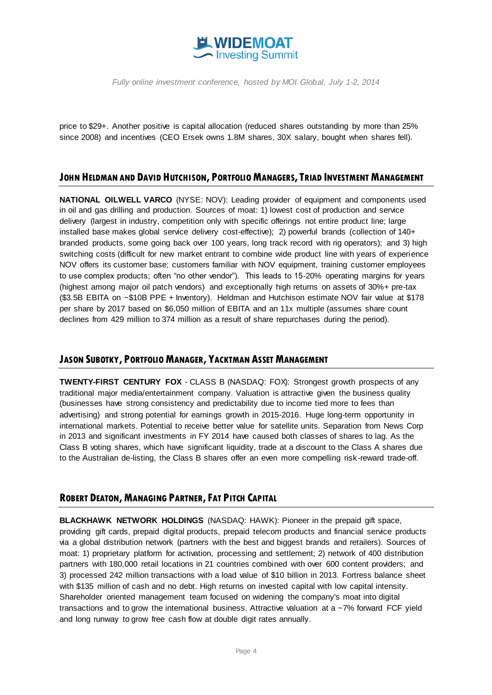

price to \$29+. Another positive is capital allocation (reduced shares outstanding by more than 25% since 2008) and incentives (CEO Ersek owns 1.8M shares, 30X salary, bought when shares fell).

### **JOHN HELDMAN AND DAVID HUTCHISON, PORTFOLIO MANAGERS,TRIAD INVESTMENT MANAGEMENT**

**NATIONAL OILWELL VARCO** (NYSE: NOV): Leading provider of equipment and components used in oil and gas drilling and production. Sources of moat: 1) lowest cost of production and service delivery (largest in industry, competition only with specific offerings not entire product line; large installed base makes global service delivery cost-effective); 2) powerful brands (collection of 140+ branded products, some going back over 100 years, long track record with rig operators); and 3) high switching costs (difficult for new market entrant to combine wide product line with years of experience NOV offers its customer base; customers familiar with NOV equipment, training customer employees to use complex products; often "no other vendor"). This leads to 15-20% operating margins for years (highest among major oil patch vendors) and exceptionally high returns on assets of 30%+ pre-tax (\$3.5B EBITA on ~\$10B PPE + Inventory). Heldman and Hutchison estimate NOV fair value at \$178 per share by 2017 based on \$6,050 million of EBITA and an 11x multiple (assumes share count declines from 429 million to 374 million as a result of share repurchases during the period).

### **JASON SUBOTKY, PORTFOLIO MANAGER, YACKTMAN ASSET MANAGEMENT**

**TWENTY-FIRST CENTURY FOX** - CLASS B (NASDAQ: FOX): Strongest growth prospects of any traditional major media/entertainment company. Valuation is attractive given the business quality (businesses have strong consistency and predictability due to income tied more to fees than advertising) and strong potential for earnings growth in 2015-2016. Huge long-term opportunity in international markets. Potential to receive better value for satellite units. Separation from News Corp in 2013 and significant investments in FY 2014 have caused both classes of shares to lag. As the Class B voting shares, which have significant liquidity, trade at a discount to the Class A shares due to the Australian de-listing, the Class B shares offer an even more compelling risk-reward trade-off.

# **ROBERT DEATON, MANAGING PARTNER,FAT PITCH CAPITAL**

**BLACKHAWK NETWORK HOLDINGS** (NASDAQ: HAWK): Pioneer in the prepaid gift space, providing gift cards, prepaid digital products, prepaid telecom products and financial service products via a global distribution network (partners with the best and biggest brands and retailers). Sources of moat: 1) proprietary platform for activation, processing and settlement; 2) network of 400 distribution partners with 180,000 retail locations in 21 countries combined with over 600 content providers; and 3) processed 242 million transactions with a load value of \$10 billion in 2013. Fortress balance sheet with \$135 million of cash and no debt. High returns on invested capital with low capital intensity. Shareholder oriented management team focused on widening the company's moat into digital transactions and to grow the international business. Attractive valuation at a ~7% forward FCF yield and long runway to grow free cash flow at double digit rates annually.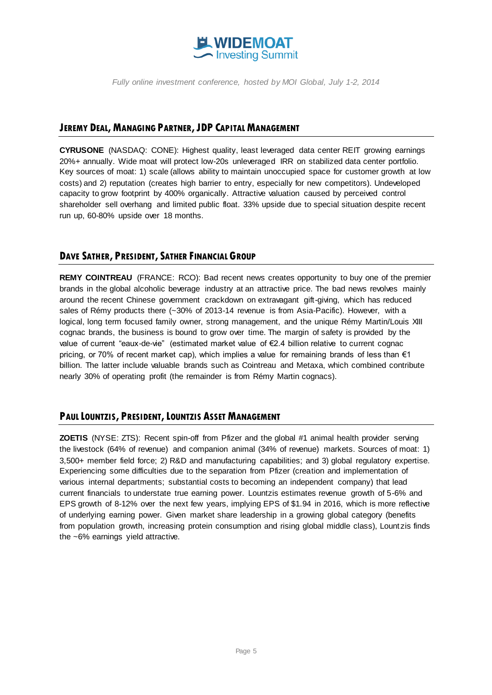

#### **JEREMY DEAL, MANAGING PARTNER,JDP CAPITAL MANAGEMENT**

**CYRUSONE** (NASDAQ: CONE): Highest quality, least leveraged data center REIT growing earnings 20%+ annually. Wide moat will protect low-20s unleveraged IRR on stabilized data center portfolio. Key sources of moat: 1) scale (allows ability to maintain unoccupied space for customer growth at low costs) and 2) reputation (creates high barrier to entry, especially for new competitors). Undeveloped capacity to grow footprint by 400% organically. Attractive valuation caused by perceived control shareholder sell overhang and limited public float. 33% upside due to special situation despite recent run up, 60-80% upside over 18 months.

# **DAVE SATHER, PRESIDENT, SATHER FINANCIAL GROUP**

**REMY COINTREAU** (FRANCE: RCO): Bad recent news creates opportunity to buy one of the premier brands in the global alcoholic beverage industry at an attractive price. The bad news revolves mainly around the recent Chinese government crackdown on extravagant gift-giving, which has reduced sales of Rémy products there (~30% of 2013-14 revenue is from Asia-Pacific). However, with a logical, long term focused family owner, strong management, and the unique Rémy Martin/Louis XIII cognac brands, the business is bound to grow over time. The margin of safety is provided by the value of current "eaux-de-vie" (estimated market value of €2.4 billion relative to current cognac pricing, or 70% of recent market cap), which implies a value for remaining brands of less than  $\epsilon$ 1 billion. The latter include valuable brands such as Cointreau and Metaxa, which combined contribute nearly 30% of operating profit (the remainder is from Rémy Martin cognacs).

# **PAUL LOUNTZIS, PRESIDENT,LOUNTZIS ASSET MANAGEMENT**

**ZOETIS** (NYSE: ZTS): Recent spin-off from Pfizer and the global #1 animal health provider serving the livestock (64% of revenue) and companion animal (34% of revenue) markets. Sources of moat: 1) 3,500+ member field force; 2) R&D and manufacturing capabilities; and 3) global regulatory expertise. Experiencing some difficulties due to the separation from Pfizer (creation and implementation of various internal departments; substantial costs to becoming an independent company) that lead current financials to understate true earning power. Lountzis estimates revenue growth of 5-6% and EPS growth of 8-12% over the next few years, implying EPS of \$1.94 in 2016, which is more reflective of underlying earning power. Given market share leadership in a growing global category (benefits from population growth, increasing protein consumption and rising global middle class), Lount zis finds the ~6% earnings yield attractive.